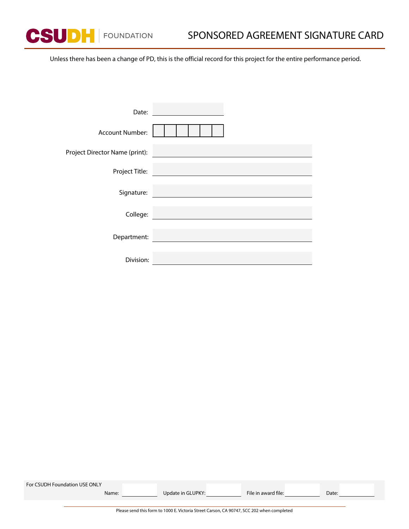**CSUDH** FOUNDATION

Unless there has been a change of PD, this is the official record for this project for the entire performance period.

| Date:                          |                                              |
|--------------------------------|----------------------------------------------|
| <b>Account Number:</b>         |                                              |
| Project Director Name (print): |                                              |
| Project Title:                 | the company of the company of the company of |
| Signature:                     |                                              |
| College:                       |                                              |
| Department:                    |                                              |
| Division:                      |                                              |

| For CSUDH Foundation USE ONLY |                                                                                           |                     |       |  |
|-------------------------------|-------------------------------------------------------------------------------------------|---------------------|-------|--|
| Name:                         | Update in GLUPKY:                                                                         | File in award file: | Date: |  |
|                               |                                                                                           |                     |       |  |
|                               | Please send this form to 1000 E. Victoria Street Carson, CA 90747, SCC 202 when completed |                     |       |  |